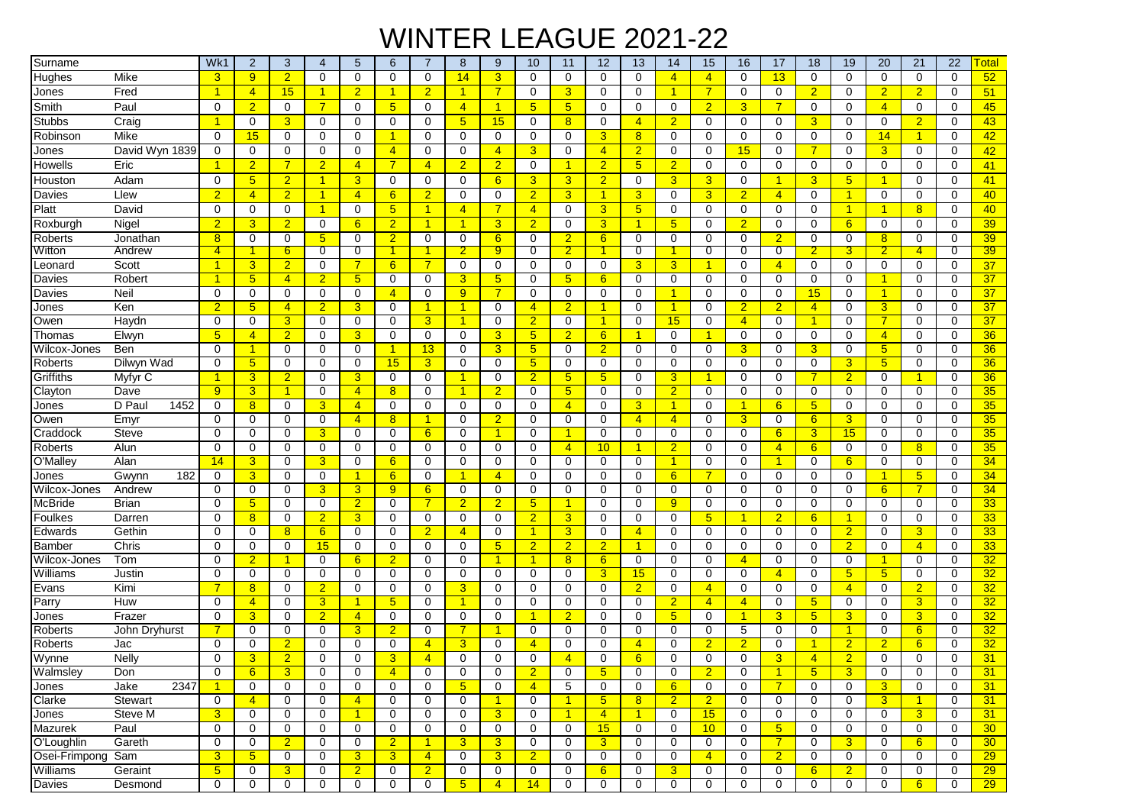## WINTER LEAGUE 2021-22

| Surname        |                | Wk1                  | $\overline{2}$   | 3               | 4              | 5               | 6               | 7                    | 8              | 9              | 10                   | 11              | 12             | 13                   | 14                   | 15             | 16             | 17                   | 18              | 19                   | 20                   | 21               | 22          | <u><sup>-</sup>otal</u> |
|----------------|----------------|----------------------|------------------|-----------------|----------------|-----------------|-----------------|----------------------|----------------|----------------|----------------------|-----------------|----------------|----------------------|----------------------|----------------|----------------|----------------------|-----------------|----------------------|----------------------|------------------|-------------|-------------------------|
| Hughes         | Mike           | 3                    | 9                | $\overline{2}$  | 0              | 0               | 0               | $\mathbf 0$          | 14             | 3              | $\mathbf 0$          | $\mathbf 0$     | 0              | $\mathbf 0$          | $\overline{4}$       | $\overline{4}$ | 0              | 13                   | 0               | $\mathbf 0$          | $\mathbf 0$          | 0                | $\Omega$    | 52                      |
| Jones          | Fred           | $\mathbf{1}$         | $\overline{4}$   | 15              | $\mathbf{1}$   | $\overline{2}$  | 1               | $\overline{2}$       | $\mathbf{1}$   | $\overline{7}$ | 0                    | 3               | 0              | 0                    | $\mathbf{1}$         | $\overline{7}$ | 0              | 0                    | $\overline{2}$  | 0                    | $\overline{2}$       | $\overline{2}$   | 0           | 51                      |
| Smith          | Paul           | $\mathbf 0$          | $\overline{2}$   | $\mathbf 0$     | $\overline{7}$ | 0               | $5\phantom{.0}$ | 0                    | $\overline{4}$ | $\overline{1}$ | 5 <sub>5</sub>       | 5 <sup>5</sup>  | 0              | $\mathbf 0$          | $\mathbf 0$          | $\overline{2}$ | 3              | $\overline{7}$       | $\mathbf 0$     | 0                    | $\overline{4}$       | 0                | 0           | 45                      |
| Stubbs         | Craig          | 1                    | 0                | $\overline{3}$  | 0              | 0               | $\mathbf 0$     | 0                    | 5              | 15             | $\mathbf 0$          | 8               | 0              | $\overline{4}$       | $\overline{2}$       | $\mathbf 0$    | $\mathbf 0$    | $\mathbf 0$          | 3               | $\mathbf 0$          | $\mathbf 0$          | $\overline{2}$   | $\mathbf 0$ | 43                      |
| Robinson       | Mike           | $\Omega$             | 15               | 0               | 0              | $\Omega$        | 1               | $\Omega$             | $\Omega$       | $\Omega$       | $\Omega$             | $\Omega$        | 3              | 8                    | $\Omega$             | $\Omega$       | 0              | $\Omega$             | $\Omega$        | 0                    | 14                   | 1                | 0           | 42                      |
| Jones          | David Wyn 1839 | $\mathbf 0$          | 0                | 0               | $\mathbf 0$    | 0               | $\overline{4}$  | 0                    | 0              | 4              | $\overline{3}$       | 0               | $\overline{4}$ | $\overline{2}$       | 0                    | $\Omega$       | 15             | 0                    | 7               | $\mathbf 0$          | 3                    | 0                | $\Omega$    | 42                      |
| Howells        | Eric           | $\mathbf 1$          | $\overline{2}$   | 7               | $\overline{2}$ | $\overline{4}$  | 7               | $\overline{4}$       | $\overline{2}$ | $\overline{2}$ | 0                    | $\mathbf{1}$    | $\overline{2}$ | $5\overline{)}$      | $\overline{2}$       | $\Omega$       | 0              | 0                    | $\Omega$        | 0                    | 0                    | 0                | $\Omega$    | 41                      |
| Houston        | Adam           | $\mathbf 0$          | 5 <sub>5</sub>   | $\overline{2}$  | $\mathbf{1}$   | 3               | $\mathbf 0$     | 0                    | $\mathbf 0$    | 6              | 3                    | 3               | $\overline{2}$ | $\mathbf 0$          | 3                    | 3              | 0              | $\blacktriangleleft$ | 3               | 5                    | $\overline{1}$       | 0                | $\mathbf 0$ | 41                      |
| Davies         | Llew           | $\overline{2}$       | $\overline{4}$   | $\overline{2}$  | $\mathbf{1}$   | $\overline{4}$  | 6               | $\overline{2}$       | $\mathbf 0$    | $\mathbf 0$    | $\overline{2}$       | 3               | 1              | $\overline{3}$       | $\mathbf 0$          | 3              | $\overline{2}$ | $\overline{4}$       | 0               | $\overline{1}$       | $\mathbf 0$          | 0                | $\mathbf 0$ | 40                      |
| Platt          | David          | $\Omega$             | 0                | $\Omega$        | $\overline{1}$ | 0               | $5\overline{)}$ | -1                   | $\overline{4}$ | $\overline{7}$ | $\overline{4}$       | $\Omega$        | 3              | 5                    | 0                    | $\Omega$       | 0              | $\Omega$             | $\Omega$        | $\overline{1}$       | $\blacktriangleleft$ | 8                | 0           | 40                      |
| Roxburgh       | Nigel          | $\overline{2}$       | 3                | $\overline{2}$  | $\mathbf 0$    | 6               | $\overline{2}$  | $\blacktriangleleft$ | $\mathbf{1}$   | 3              | $\overline{2}$       | 0               | 3              | $\overline{1}$       | 5 <sub>5</sub>       | $\Omega$       | $\overline{2}$ | 0                    | 0               | 6                    | 0                    | 0                | $\Omega$    | 39                      |
| Roberts        | Jonathan       | 8                    | 0                | 0               | 5              | 0               | $\overline{2}$  | 0                    | 0              | 6              | 0                    | $\overline{2}$  | 6              | $\mathbf 0$          | 0                    | $\Omega$       | 0              | $\overline{2}$       | $\Omega$        | 0                    | 8                    | 0                | 0           | 39                      |
| Witton         | Andrew         | $\overline{4}$       |                  | $6\phantom{.}6$ | $\overline{0}$ | $\overline{0}$  |                 |                      | $\overline{2}$ | 9              | $\overline{0}$       | $\overline{2}$  |                | $\overline{0}$       |                      | 0              | $\overline{0}$ | $\overline{0}$       |                 | 3                    | $\overline{2}$       | 4                | 0           | 39                      |
| Leonard        | Scott          | $\blacktriangleleft$ | 3                | $\overline{2}$  | 0              | 7               | 6               | $\overline{7}$       | 0              | 0              | 0                    | 0               | 0              | 3                    | 3                    | 1              | 0              | $\overline{4}$       | 0               | 0                    | $\mathbf 0$          | 0                | 0           | 37                      |
| Davies         | Robert         | $\blacktriangleleft$ | 5                | $\overline{4}$  | $\overline{2}$ | $5\phantom{.0}$ | 0               | 0                    | 3              | 5              | 0                    | $5\phantom{.0}$ | 6              | $\mathbf 0$          | 0                    | 0              | 0              | 0                    | $\Omega$        | 0                    | $\blacktriangleleft$ | $\Omega$         | 0           | 37                      |
| Davies         | Neil           | 0                    | 0                | 0               | 0              | 0               | $\overline{4}$  | $\Omega$             | 9              | $\overline{7}$ | $\Omega$             | $\mathbf 0$     | 0              | $\mathbf 0$          | $\mathbf{1}$         | 0              | 0              | 0                    | 15              | 0                    | $\overline{1}$       | 0                | $\Omega$    | 37                      |
| Jones          | Ken            | $\overline{2}$       | 5                | $\overline{4}$  | $\overline{2}$ | 3               | $\mathbf 0$     | -1                   | $\mathbf{1}$   | $\mathbf 0$    | $\overline{4}$       | $\overline{2}$  | 1              | 0                    | $\mathbf{1}$         | $\mathbf 0$    | $\overline{2}$ | $\overline{2}$       | 4               | $\mathbf 0$          | $\overline{3}$       | 0                | $\mathbf 0$ | 37                      |
| Owen           | Haydn          | $\mathbf 0$          | 0                | $\overline{3}$  | 0              | 0               | 0               | 3                    | $\mathbf{1}$   | 0              | $\overline{2}$       | $\mathbf 0$     | 1              | 0                    | 15                   | 0              | $\overline{4}$ | 0                    | 1               | $\mathbf 0$          | $\overline{7}$       | 0                | 0           | 37                      |
| Thomas         | Elwyn          | 5                    | 4                | $\overline{2}$  | 0              | 3               | 0               | $\mathbf 0$          | $\mathbf 0$    | 3              | 5 <sub>5</sub>       | $\overline{2}$  | 6              | -1                   | $\mathbf 0$          | 1              | 0              | 0                    | $\mathbf 0$     | 0                    | $\overline{4}$       | 0                | 0           | 36                      |
| Wilcox-Jones   | Ben            | $\mathbf 0$          | $\overline{1}$   | $\mathbf 0$     | $\mathbf 0$    | 0               | 1               | 13                   | $\mathbf 0$    | 3              | $5\phantom{.0}$      | $\mathbf 0$     | $\overline{2}$ | 0                    | $\mathbf 0$          | 0              | 3              | $\mathbf 0$          | 3               | $\mathbf 0$          | 5 <sub>5</sub>       | 0                | $\mathbf 0$ | 36                      |
| Roberts        | Dilwyn Wad     | $\Omega$             | 5 <sub>5</sub>   | 0               | 0              | 0               | 15              | 3                    | 0              | 0              | 5 <sub>5</sub>       | 0               | 0              | 0                    | $\mathbf 0$          | 0              | 0              | 0                    | 0               | 3                    | 5 <sub>5</sub>       | 0                | $\Omega$    | 36                      |
| Griffiths      | Myfyr C        | 1                    | 3                | $\overline{2}$  | 0              | 3               | 0               | 0                    | 1              | 0              | $\overline{2}$       | $5\phantom{.0}$ | 5              | 0                    | 3                    | 1              | 0              | 0                    |                 | $\overline{2}$       | 0                    |                  | $\Omega$    | 36                      |
| Clayton        | Dave           | 9                    | 3                | -1              | 0              | $\overline{4}$  | 8               | 0                    | $\mathbf{1}$   | $\overline{2}$ | 0                    | $5\phantom{.0}$ | 0              | 0                    | $\overline{2}$       | 0              | 0              | 0                    | 0               | $\mathbf 0$          | 0                    | 0                | 0           | 35                      |
| Jones          | D Pau<br>1452  | 0                    | 8                | $\mathbf 0$     | 3              | $\overline{4}$  | 0               | $\Omega$             | $\mathbf 0$    | $\Omega$       | $\Omega$             | $\overline{4}$  | 0              | 3                    | $\blacktriangleleft$ | 0              | -1             | 6                    | 5               | 0                    | $\Omega$             | $\Omega$         | $\Omega$    | 35                      |
| Owen           | Emyr           | 0                    | 0                | $\mathbf 0$     | 0              | $\overline{4}$  | 8               | $\mathbf{1}$         | 0              | $\overline{2}$ | $\mathbf 0$          | $\mathbf 0$     | 0              | $\overline{4}$       | $\overline{4}$       | 0              | $\overline{3}$ | 0                    | 6               | 3                    | $\mathbf 0$          | 0                | 0           | 35                      |
| Craddock       | Steve          | 0                    | 0                | 0               | 3              | 0               | 0               | $6^{\circ}$          | 0              | 1              | 0                    | 1               | 0              | 0                    | 0                    | 0              | 0              | $6^{\circ}$          | 3               | 15                   | 0                    | 0                | 0           | 35                      |
| Roberts        | Alun           | $\mathbf 0$          | 0                | $\mathbf 0$     | $\mathbf 0$    | 0               | 0               | $\mathbf 0$          | $\mathbf 0$    | 0              | $\mathbf 0$          | $\overline{4}$  | 10             | 1                    | $\overline{2}$       | 0              | $\mathbf 0$    | $\overline{4}$       | $6\overline{6}$ | $\mathbf 0$          | $\mathbf 0$          | 8                | 0           | 35                      |
| O'Malley       | Alan           | 14                   | 3                | 0               | 3              | 0               | 6               | $\mathbf 0$          | $\mathbf 0$    | 0              | $\mathbf 0$          | $\mathbf 0$     | 0              | $\mathbf 0$          | $\blacktriangleleft$ | 0              | 0              | $\blacktriangleleft$ | $\mathbf 0$     | 6                    | 0                    | 0                | 0           | 34                      |
| Jones          | 182<br>Gwynn   | 0                    | 3                | 0               | $\mathbf 0$    | $\mathbf{1}$    | 6               | $\mathbf 0$          | 1              | $\overline{4}$ | $\mathbf 0$          | 0               | 0              | 0                    | 6                    |                | 0              | 0                    | 0               | $\mathbf 0$          | $\mathbf{1}$         | $5\phantom{.0}$  | 0           | 34                      |
| Wilcox-Jones   | Andrew         | 0                    | 0                | 0               | 3              | 3               | 9               | 6                    | 0              | 0              | 0                    | 0               | 0              | $\mathbf 0$          | $\mathbf 0$          | 0              | $\mathbf 0$    | 0                    | 0               | 0                    | 6                    | $\overline{7}$   | 0           | 34                      |
| McBride        | Brian          | 0                    | $5\phantom{.0}$  | 0               | 0              | $\overline{2}$  | 0               | $\overline{7}$       | $\overline{2}$ | $\overline{2}$ | 5 <sub>5</sub>       | $\mathbf{1}$    | 0              | 0                    | 9                    | $\Omega$       | 0              | $\mathbf 0$          | $\Omega$        | 0                    | 0                    | 0                | $\Omega$    | 33                      |
| Foulkes        | Darren         | 0                    | 8                | 0               | $\overline{2}$ | 3               | 0               | $\Omega$             | 0              | 0              | $\overline{2}$       | 3               | 0              | $\mathbf 0$          | 0                    | 5              | -1             | $\overline{2}$       | 6               | $\blacktriangleleft$ | $\mathbf 0$          | 0                | 0           | 33                      |
| Edwards        | Gethin         | $\Omega$             | 0                | 8               | 6              | 0               | 0               | $\overline{2}$       | $\overline{4}$ | $\Omega$       | -1                   | 3               | 0              | $\overline{4}$       | 0                    | $\Omega$       | 0              | 0                    | $\Omega$        | $\overline{2}$       | 0                    | 3                | 0           | 33                      |
| Bamber         | Chris          | 0                    | 0                | 0               | 15             | 0               | 0               | 0                    | 0              | 5 <sup>5</sup> | $\overline{2}$       | $\overline{2}$  | $\overline{2}$ | -1                   | $\mathbf 0$          | 0              | $\mathbf 0$    | 0                    | 0               | $\overline{2}$       | $\mathbf 0$          | $\overline{4}$   | 0           | 33                      |
| Wilcox-Jones   | Tom            | $\mathbf 0$          | $\overline{2}$   | -1              | 0              | 6               | $\overline{2}$  | 0                    | $\mathbf 0$    | 1              | $\blacktriangleleft$ | 8               | 6              | $\mathbf 0$          | $\mathbf 0$          | $\Omega$       | $\overline{4}$ | $\mathbf 0$          | $\mathbf 0$     | 0                    | $\mathbf{1}$         | 0                | $\mathbf 0$ | 32                      |
| Williams       | Justin         | $\mathbf 0$          | 0                | 0               | $\mathbf 0$    | 0               | 0               | 0                    | 0              | 0              | 0                    | 0               | 3              | 15                   | 0                    | 0              | 0              | $\overline{4}$       | 0               | $5\phantom{.0}$      | 5 <sub>5</sub>       | 0                | 0           | 32                      |
| Evans          | Kimi           | 7                    | 8                | $\mathbf 0$     | $\overline{2}$ | 0               | 0               | 0                    | 3              | 0              | 0                    | $\mathbf 0$     | 0              | $\overline{2}$       | $\mathbf 0$          | 4              | 0              | 0                    | 0               | $\overline{4}$       | $\mathbf 0$          | $\overline{2}$   | 0           | 32                      |
| Parry          | Huw            | $\Omega$             | $\overline{4}$   | 0               | 3              | $\mathbf{1}$    | $5\phantom{.0}$ | $\Omega$             | $\mathbf{1}$   | 0              | $\Omega$             | 0               | 0              | $\mathbf 0$          | $\overline{2}$       | $\overline{4}$ | $\overline{4}$ | 0                    | 5               | 0                    | $\mathbf 0$          | 3                | $\Omega$    | 32                      |
| Jones          | Frazer         | $\Omega$             | 3                | 0               | $\overline{2}$ | $\overline{4}$  | 0               | 0                    | 0              | 0              | -1                   | $\overline{2}$  | 0              | $\mathbf 0$          | 5 <sub>5</sub>       | $\Omega$       | $\overline{1}$ | 3                    | 5               | 3                    | 0                    | 3                | 0           | 32                      |
| Roberts        | John Dryhurst  |                      | 0                | 0               | 0              | 3               | $\overline{2}$  | 0                    | 7              | 1              | 0                    | 0               | 0              | 0                    | 0                    | 0              | 5              | 0                    | 0               | $\mathbf{1}$         | 0                    | $6 \overline{6}$ | 0           | 32                      |
| Roberts        | Jac            | 0                    | 0                | $\overline{2}$  | 0              | 0               | 0               | $\overline{4}$       | 3              | 0              | $\overline{4}$       | 0               | 0              | $\overline{4}$       | 0                    | $\overline{2}$ | $\overline{2}$ | 0                    |                 | $\overline{2}$       | $\overline{2}$       | 6                | 0           | $\overline{32}$         |
| Wynne          | Nelly          | $\Omega$             | 3                | $\overline{2}$  | $\Omega$       | 0               | 3               | 4                    | $\Omega$       | 0              | $\Omega$             | $\overline{4}$  | 0              | 6                    | $\Omega$             | 0              | $\Omega$       | 3                    | 4               | $\overline{2}$       | $\Omega$             | $\Omega$         | $\Omega$    | 31                      |
| Walmsley       | Don            | 0                    | $6 \overline{6}$ | $\overline{3}$  | 0              | 0               | $\overline{4}$  | 0                    | 0              | 0              | $\overline{2}$       | 0               | 5.             | 0                    | 0                    | $\overline{2}$ | 0              | 1                    | 5               | 3                    | 0                    | 0                | 0           | 31                      |
| Jones          | 2347<br>Jake   | $\mathbf{1}$         | 0                | $\mathbf 0$     | 0              | 0               | $\mathbf 0$     | $\mathbf 0$          | 5 <sub>5</sub> | 0              | $\overline{4}$       | 5               | $\mathbf 0$    | 0                    | 6                    | 0              | 0              | $\overline{7}$       | 0               | 0                    | 3 <sup>5</sup>       | 0                | $\mathbf 0$ | 31                      |
| Clarke         | Stewart        | 0                    | $\overline{4}$   | $\mathbf 0$     | 0              | $\overline{4}$  | 0               | $\mathbf 0$          | $\mathbf 0$    | $\mathbf{1}$   | 0                    | $\mathbf{1}$    | 5 <sup>5</sup> | 8                    | $\overline{2}$       | 2 <sup>1</sup> | $\mathbf 0$    | $\mathbf 0$          | $\mathbf 0$     | $\mathbf 0$          | 3 <sup>5</sup>       | $\mathbf{1}$     | $\mathbf 0$ | 31                      |
| Jones          | Steve M        | 3                    | 0                | $\mathbf 0$     | 0              | $\mathbf{1}$    | 0               | 0                    | $\mathbf 0$    | 3 <sup>5</sup> | 0                    | $\overline{1}$  | $\overline{4}$ | $\blacktriangleleft$ | 0                    | 15             | $\mathbf 0$    | 0                    | 0               | $\mathbf 0$          | $\mathbf 0$          | 3 <sup>1</sup>   | 0           | 31                      |
| <b>Mazurek</b> | Paul           | 0                    | 0                | 0               | 0              | 0               | 0               | 0                    | 0              | 0              | 0                    | 0               | 15             | 0                    | 0                    | 10             | 0              | 5 <sup>5</sup>       | 0               | $\mathbf 0$          | 0                    | 0                | $\mathbf 0$ | 30 <sup>°</sup>         |
| O'Loughlin     | Gareth         | 0                    | 0                | $\overline{2}$  | 0              | 0               | $\overline{2}$  | $\blacktriangleleft$ | 3              | 3              | 0                    | 0               | $\mathbf{3}$   | 0                    | 0                    | 0              | 0              | $\overline{7}$       | 0               | 3                    | $\mathbf 0$          | 6                | 0           | 30 <sup>°</sup>         |
| Osei-Frimpong  | Sam            | 3                    | 5 <sub>5</sub>   | $\mathbf 0$     | 0              | $\overline{3}$  | 3               | $\overline{4}$       | $\mathbf 0$    | 3 <sup>2</sup> | $\overline{2}$       | 0               | 0              | 0                    | 0                    | $\overline{4}$ | 0              | 2 <sup>1</sup>       | 0               | 0                    | $\mathbf 0$          | 0                | 0           | 29                      |
| Williams       | Geraint        | 5 <sup>5</sup>       | 0                | 3 <sup>2</sup>  | 0              | $\overline{2}$  | 0               | 2 <sup>1</sup>       | 0              | 0              | 0                    | 0               | 6              | 0                    | 3 <sup>2</sup>       | 0              | 0              | 0                    | $6^{\circ}$     | $\overline{2}$       | 0                    | 0                | 0           | 29                      |
| Davies         | Desmond        | 0                    | 0                | $\mathbf 0$     | 0              | 0               | 0               | 0                    | 5 <sub>5</sub> | $\overline{4}$ | 14                   | 0               | 0              | 0                    | 0                    | 0              | $\mathbf 0$    | $\mathbf 0$          | 0               | 0                    | 0                    | 6 <sup>1</sup>   | 0           | 29                      |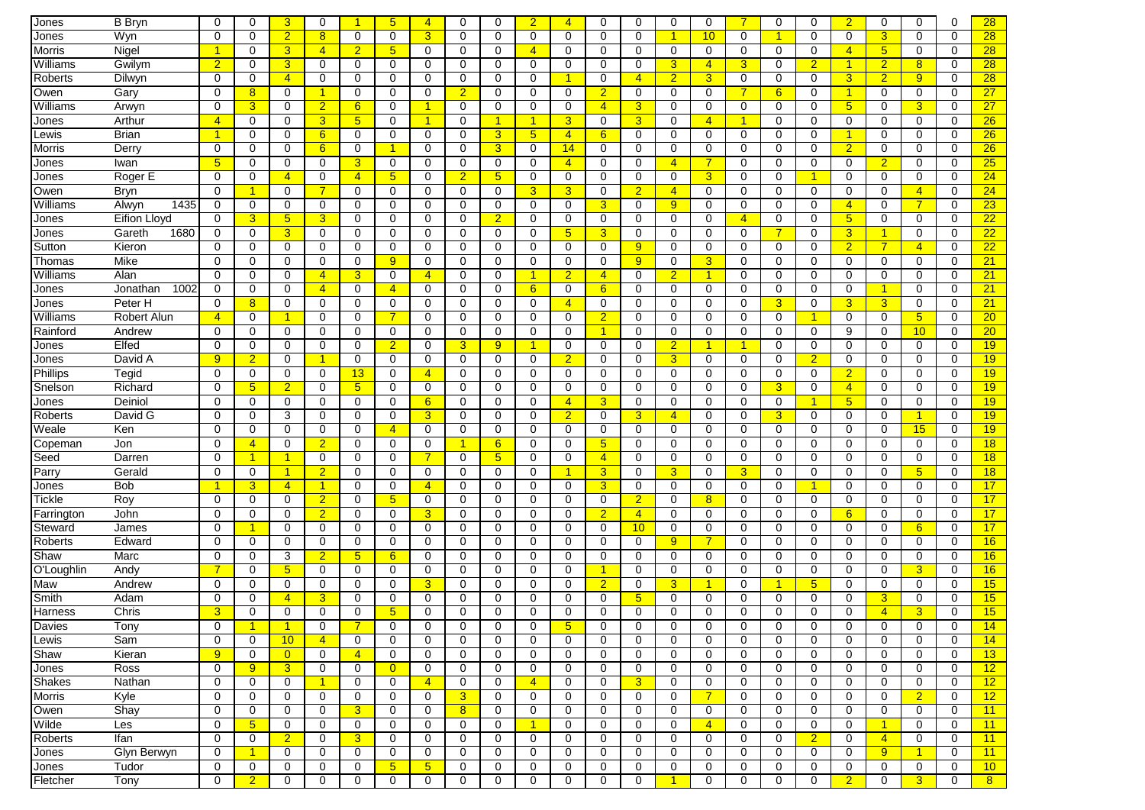| Jones         | <b>B</b> Bryn       | $\Omega$             | $\mathbf 0$          | 3               | $\mathbf 0$          | -1              | 5 <sub>5</sub>  | $\overline{4}$       | $\mathbf 0$    | $\Omega$       | $\overline{2}$       | $\overline{4}$ | $\Omega$       | $\mathbf 0$     | $\mathbf 0$    | $\Omega$       | $\overline{7}$ | $\mathbf 0$          | $\Omega$       | $\overline{2}$  | $\mathbf 0$          | $\Omega$       | 0           | 28              |
|---------------|---------------------|----------------------|----------------------|-----------------|----------------------|-----------------|-----------------|----------------------|----------------|----------------|----------------------|----------------|----------------|-----------------|----------------|----------------|----------------|----------------------|----------------|-----------------|----------------------|----------------|-------------|-----------------|
| Jones         | Wyn                 | $\Omega$             | 0                    | $\overline{2}$  | 8                    | 0               | 0               | 3                    | 0              | $\Omega$       | $\Omega$             | 0              | $\Omega$       | 0               | $\overline{1}$ | 10             | $\mathbf 0$    | $\blacktriangleleft$ | $\Omega$       | 0               | 3                    | $\Omega$       | $\mathbf 0$ | 28              |
| Morris        | Nigel               | $\blacktriangleleft$ | 0                    | 3               | $\overline{4}$       | $\overline{2}$  | 5               | $\Omega$             | 0              | 0              | $\overline{4}$       | $\mathbf 0$    | 0              | $\mathbf 0$     | $\mathbf 0$    | 0              | 0              | 0                    | 0              | $\overline{4}$  | 5 <sup>5</sup>       | 0              | 0           | 28              |
| Williams      | Gwilym              | $\overline{2}$       | 0                    | 3               | 0                    | 0               | 0               | 0                    | 0              | 0              | $\mathbf 0$          | $\mathbf 0$    | 0              | $\mathbf 0$     | 3              | $\overline{4}$ | 3              | 0                    | $\overline{2}$ | 1               | $\overline{2}$       | 8              | $\mathbf 0$ | 28              |
| Roberts       | Dilwyn              | 0                    | 0                    | $\overline{4}$  | 0                    | 0               | 0               | 0                    | 0              | 0              | 0                    | 1              | 0              | $\overline{4}$  | $\overline{2}$ | 3 <sup>1</sup> | 0              | 0                    | 0              | 3               | $\overline{2}$       | 9 <sup>°</sup> | 0           | 28              |
| Owen          | Gary                | $\mathbf 0$          | 8                    | $\mathbf 0$     | -1                   | 0               | 0               | 0                    | $\overline{2}$ | 0              | 0                    | $\mathbf 0$    | $\overline{2}$ | $\mathbf 0$     | $\mathbf 0$    | 0              | 7              | 6                    | 0              | -1              | $\mathbf 0$          | 0              | $\mathbf 0$ | 27              |
| Williams      |                     | $\mathbf 0$          | 3                    | $\mathbf 0$     | $\overline{2}$       | 6               | 0               | $\blacktriangleleft$ | $\mathbf 0$    | 0              | 0                    | $\mathbf 0$    | $\overline{4}$ | 3               | 0              | 0              | 0              | $\mathbf 0$          | 0              | $5\overline{)}$ | 0                    | 3              | $\Omega$    | 27              |
|               | Arwyn<br>Arthur     | $\overline{4}$       | 0                    | 0               | 3                    | $5\phantom{.0}$ | 0               | $\blacktriangleleft$ | 0              | 1              | $\blacktriangleleft$ | 3              | 0              | $\overline{3}$  | $\mathbf 0$    | $\overline{4}$ | -1             | 0                    | 0              | 0               | 0                    | 0              | 0           | 26              |
| Jones         |                     | $\blacktriangleleft$ |                      |                 |                      |                 |                 |                      |                |                |                      |                |                |                 |                |                |                |                      | $\Omega$       | 1               |                      |                |             |                 |
| Lewis         | Brian               |                      | 0                    | 0               | 6                    | 0               | 0               | 0                    | 0              | 3              | 5 <sub>5</sub>       | $\overline{4}$ | 6              | $\mathbf 0$     | 0              | 0              | 0              | $\mathbf 0$          |                |                 | 0                    | 0              | 0           | 26              |
| Morris        | Derry               | 0                    | 0                    | 0               | 6                    | 0               |                 | $\Omega$             | 0              | 3              | $\mathbf 0$          | 14             | 0              | $\mathbf 0$     | 0              | 0              | 0              | $\mathbf 0$          | 0              | $\overline{2}$  | 0                    | 0              | 0           | 26              |
| Jones         | Iwan                | 5                    | 0                    | 0               | 0                    | 3               | 0               | 0                    | 0              | 0              | 0                    | $\overline{4}$ | $\Omega$       | 0               | $\overline{4}$ |                | 0              | 0                    | 0              | 0               | $\overline{2}$       | 0              | 0           | 25              |
| Jones         | Roger E             | 0                    | 0                    | $\overline{4}$  | 0                    | $\overline{4}$  | 5 <sup>5</sup>  | 0                    | $\overline{2}$ | 5 <sup>5</sup> | $\mathbf 0$          | 0              | 0              | $\mathbf 0$     | 0              | 3 <sup>5</sup> | 0              | $\mathbf 0$          |                | $\mathbf 0$     | $\mathbf 0$          | $\mathbf 0$    | $\mathbf 0$ | 24              |
| Owen          | <b>Bryn</b>         | $\mathbf 0$          | $\mathbf{1}$         | 0               | 7                    | 0               | 0               | 0                    | 0              | 0              | 3                    | 3              | 0              | $\overline{2}$  | $\overline{4}$ | 0              | 0              | 0                    | 0              | $\mathbf 0$     | 0                    | $\overline{4}$ | $\mathbf 0$ | 24              |
| Williams      | 1435<br>Alwyn       | 0                    | 0                    | 0               | 0                    | 0               | 0               | 0                    | 0              | 0              | 0                    | 0              | 3              | 0               | 9              | 0              | 0              | 0                    | 0              | $\overline{4}$  | 0                    | $\overline{7}$ | $\mathbf 0$ | 23              |
| Jones         | <b>Eifion Lloyd</b> | $\Omega$             | 3                    | $5\phantom{.0}$ | 3                    | 0               | 0               | 0                    | $\mathbf 0$    | $\overline{2}$ | 0                    | $\mathbf 0$    | 0              | 0               | $\mathbf 0$    | 0              | $\overline{4}$ | 0                    | 0              | $5\overline{)}$ | 0                    | 0              | $\mathbf 0$ | 22              |
| Jones         | Gareth<br>1680      | $\mathbf 0$          | $\mathbf 0$          | 3               | $\mathbf 0$          | 0               | 0               | $\mathbf 0$          | $\mathbf 0$    | 0              | $\mathbf 0$          | 5 <sub>5</sub> | 3              | $\mathbf 0$     | $\mathbf 0$    | 0              | $\mathbf 0$    | $\overline{7}$       | $\Omega$       | 3               | $\overline{1}$       | $\mathbf 0$    | $\mathbf 0$ | 22              |
| Sutton        | Kieron              | $\Omega$             | 0                    | 0               | 0                    | 0               | 0               | $\Omega$             | 0              | 0              | $\mathbf 0$          | $\mathbf 0$    | $\Omega$       | 9               | $\mathbf 0$    | 0              | $\Omega$       | $\mathbf 0$          | 0              | $\overline{2}$  | $\overline{7}$       | $\overline{4}$ | 0           | 22              |
| Thomas        | Mike                | $\Omega$             | 0                    | $\mathbf 0$     | 0                    | 0               | 9               | 0                    | 0              | 0              | 0                    | 0              | $\Omega$       | 9               | 0              | 3              | 0              | 0                    | $\Omega$       | 0               | 0                    | $\Omega$       | 0           | 21              |
| Williams      | Alan                | 0                    | 0                    | 0               | $\overline{4}$       | 3               | 0               | $\overline{4}$       | 0              | 0              | -1                   | $\overline{2}$ | $\overline{4}$ | 0               | $\overline{2}$ | 1              | 0              | 0                    | 0              | 0               | 0                    | 0              | 0           | 21              |
| Jones         | 1002<br>Jonathan    | 0                    | 0                    | $\Omega$        | $\overline{4}$       | 0               | $\overline{4}$  | $\Omega$             | 0              | 0              | 6                    | $\Omega$       | 6              | 0               | $\Omega$       | $\Omega$       | $\Omega$       | 0                    | $\Omega$       | 0               | $\blacktriangleleft$ | $\Omega$       | $\Omega$    | 21              |
| Jones         | Peter H             | 0                    | 8                    | 0               | 0                    | 0               | 0               | 0                    | 0              | 0              | 0                    | $\overline{4}$ | 0              | 0               | 0              | 0              | 0              | $\overline{3}$       | 0              | 3               | 3 <sup>1</sup>       | 0              | $\mathbf 0$ | 21              |
| Williams      | <b>Robert Alun</b>  | $\overline{4}$       | 0                    | -1              | 0                    | 0               |                 | 0                    | 0              | 0              | 0                    | 0              | $\overline{2}$ | 0               | 0              | 0              | 0              | 0                    |                | 0               | 0                    | 5 <sup>5</sup> | $\mathbf 0$ | 20              |
| Rainford      | Andrew              | $\mathbf 0$          | 0                    | $\mathbf 0$     | $\mathbf 0$          | 0               | 0               | $\mathbf 0$          | $\mathbf 0$    | 0              | $\mathbf 0$          | $\mathbf 0$    | $\overline{1}$ | 0               | $\mathbf 0$    | 0              | 0              | $\mathbf 0$          | 0              | 9               | $\mathbf 0$          | 10             | $\Omega$    | 20              |
| Jones         | Elfed               | $\mathbf 0$          | 0                    | 0               | $\mathbf 0$          | 0               | $\overline{2}$  | $\mathbf 0$          | 3              | 9              | -1                   | 0              | 0              | $\mathbf 0$     | $\overline{2}$ |                | -1             | $\mathbf 0$          | 0              | $\mathbf 0$     | 0                    | 0              | $\mathbf 0$ | 19              |
| Jones         | David A             | 9                    | $\overline{2}$       | $\mathbf 0$     | 1                    | 0               | 0               | 0                    | 0              | 0              | 0                    | $\overline{2}$ | 0              | 0               | 3              | 0              | 0              | 0                    | $\overline{2}$ | 0               | 0                    | 0              | $\mathbf 0$ | 19              |
| Phillips      | Tegid               | $\Omega$             | 0                    | 0               | 0                    | 13              | 0               | $\overline{4}$       | 0              | 0              | $\mathbf 0$          | 0              | $\Omega$       | 0               | $\Omega$       | 0              | 0              | 0                    | 0              | $\overline{2}$  | 0                    | 0              | 0           | 19              |
| Snelson       | Richard             | $\Omega$             | $5\phantom{.0}$      | $\overline{2}$  | 0                    | 5 <sub>5</sub>  | 0               | 0                    | $\Omega$       | 0              | 0                    | $\mathbf 0$    | $\Omega$       | 0               | 0              | 0              | $\Omega$       | $\overline{3}$       | $\Omega$       | $\overline{4}$  | 0                    | 0              | 0           | 19              |
| Jones         | Deiniol             | $\Omega$             | 0                    | 0               | 0                    | 0               | 0               | 6                    | 0              | 0              | $\mathbf 0$          | $\overline{4}$ | 3              | 0               | 0              | 0              | 0              | $\mathbf 0$          |                | $5\overline{)}$ | 0                    | 0              | 0           | 19              |
| Roberts       | David G             | $\Omega$             | 0                    | 3               | 0                    | 0               | 0               | 3                    | 0              | 0              | $\Omega$             | $\overline{2}$ | $\Omega$       | $\mathbf{3}$    | $\overline{4}$ | 0              | 0              | 3                    | $\Omega$       | 0               | 0                    | 1              | $\Omega$    | 19              |
| Weale         | Ken                 | 0                    | 0                    | 0               | 0                    | 0               | $\overline{4}$  | 0                    | 0              | 0              | $\mathbf 0$          | $\mathbf 0$    | 0              | 0               | $\mathbf 0$    | 0              | 0              | 0                    | 0              | $\mathbf 0$     | 0                    | 15             | $\mathbf 0$ | 19              |
| Copeman       | Jon                 | $\mathbf 0$          | $\overline{4}$       | $\mathbf 0$     | $\overline{2}$       | 0               | 0               | $\mathbf 0$          | $\mathbf 1$    | 6              | 0                    | $\mathbf 0$    | 5              | $\mathbf 0$     | $\mathbf 0$    | 0              | 0              | $\mathbf 0$          | $\mathbf 0$    | $\mathbf 0$     | 0                    | $\mathbf 0$    | $\mathbf 0$ | 18              |
| Seed          | Darren              | $\mathbf 0$          | $\mathbf{1}$         | $\mathbf{1}$    | 0                    | 0               | 0               | 7                    | 0              | 5              | 0                    | $\mathbf 0$    | 4              | 0               | 0              | 0              | 0              | $\mathbf 0$          | 0              | 0               | 0                    | 0              | $\mathbf 0$ | 18              |
| Parry         | Gerald              | $\mathbf 0$          | 0                    | 1               | $\overline{2}$       | 0               | 0               | 0                    | $\mathbf 0$    | 0              | 0                    | -1             | 3              | 0               | $\overline{3}$ | 0              | 3              | 0                    | 0              | 0               | 0                    | 5 <sub>5</sub> | $\mathbf 0$ | 18              |
| Jones         | <b>Bob</b>          | 1                    | 3                    | $\overline{4}$  | $\blacktriangleleft$ | $\Omega$        | 0               | $\overline{4}$       | $\Omega$       | $\Omega$       | $\Omega$             | $\Omega$       | 3              | 0               | 0              | 0              | $\Omega$       | 0                    |                | $\Omega$        | $\Omega$             | $\Omega$       | $\Omega$    | 17              |
| Tickle        | Roy                 | $\Omega$             | 0                    | 0               | $\overline{2}$       | 0               | $5\phantom{.0}$ | 0                    | 0              | 0              | $\mathbf 0$          | 0              | $\Omega$       | $\overline{2}$  | $\mathbf 0$    | 8              | $\Omega$       | 0                    | 0              | 0               | 0                    | 0              | 0           | 17              |
| Farrington    | John                | 0                    | 0                    | $\mathbf 0$     | $\overline{2}$       | 0               | 0               | 3                    | 0              | 0              | 0                    | 0              | $\overline{2}$ | $\overline{4}$  | $\mathbf 0$    | 0              | 0              | 0                    | $\Omega$       | 6               | 0                    | 0              | 0           | 17              |
| Steward       | James               | 0                    | $\blacktriangleleft$ | 0               | 0                    | 0               | 0               | $\Omega$             | 0              | 0              | $\mathbf 0$          | 0              | 0              | 10              | $\mathbf 0$    | $\mathbf 0$    | 0              | 0                    | 0              | 0               | 0                    | 6              | 0           | 17              |
| Roberts       | Edward              | $\Omega$             | 0                    | $\mathbf 0$     | 0                    | 0               | 0               | $\Omega$             | 0              | $\Omega$       | 0                    | $\mathbf 0$    | 0              | 0               | 9              | $\overline{7}$ | 0              | $\mathbf 0$          | 0              | 0               | 0                    | $\mathbf 0$    | $\mathbf 0$ | 16              |
| Shaw          | Marc                | 0                    | 0                    | 3               | $\overline{2}$       | 5 <sup>5</sup>  | 6               | 0                    | 0              | 0              | 0                    | 0              | 0              | $\mathbf 0$     | 0              | 0              | 0              | $\mathbf 0$          | 0              | 0               | 0                    | 0              | $\mathbf 0$ | 16              |
| O'Loughlin    | Andy                | $\overline{7}$       | 0                    | $5\phantom{.0}$ | 0                    | 0               | 0               | 0                    | 0              | 0              | 0                    | 0              | 1              | 0               | 0              | 0              | 0              | 0                    | 0              | 0               | 0                    | 3              | 0           | 16              |
| Maw           | Andrew              | 0                    | 0                    | 0               | $\mathbf 0$          | 0               | 0               | 3                    | $\mathbf 0$    | 0              | $\mathbf 0$          | $\mathbf 0$    | $\overline{2}$ | 0               | $\overline{3}$ |                | 0              | -1                   | 5 <sub>5</sub> | $\mathbf 0$     | $\mathbf 0$          | $\mathbf 0$    | $\Omega$    | 15              |
| Smith         | Adam                | $\mathbf 0$          | 0                    | $\overline{4}$  | 3                    | 0               | 0               | $\mathbf 0$          | $\mathbf 0$    | $\Omega$       | $\mathbf 0$          | $\mathbf 0$    | $\Omega$       | $5\overline{)}$ | $\mathbf 0$    | 0              | 0              | $\mathbf 0$          | $\mathbf 0$    | $\mathbf 0$     | 3                    | 0              | $\mathbf 0$ | 15              |
| Harness       | Chris               | 3                    | 0                    | 0               | $\Omega$             | $\Omega$        | 5               | $\Omega$             | $\Omega$       | 0              | $\Omega$             | $\Omega$       | 0              | 0               | $\Omega$       | 0              | 0              | $\Omega$             | $\Omega$       | $\Omega$        | $\overline{4}$       | 3              | $\mathbf 0$ | 15              |
| Davies        | I ony               | U                    |                      | -1              | U                    |                 | U               | $\cup$               | U              | U              | $\cup$               | $\mathbf{p}$   | U              | U               | U              | U              | U              | U                    | U              | U               | U                    | 0              | 0           | 14              |
| Lewis         | Sam                 | $\mathbf 0$          | $\mathbf 0$          | 10 <sup>°</sup> | $\overline{4}$       | 0               | 0               | 0                    | 0              | 0              | $\mathbf 0$          | $\mathbf 0$    | 0              | 0               | $\mathbf 0$    | 0              | $\mathbf 0$    | $\mathbf 0$          | 0              | 0               | 0                    | $\mathbf 0$    | 0           | 14              |
| Shaw          | Kieran              | 9                    | 0                    | $\overline{0}$  | $\mathbf{0}$         | $\overline{4}$  | 0               | 0                    | 0              | 0              | $\mathbf 0$          | 0              | 0              | $\mathbf 0$     | $\mathbf 0$    | $\mathbf 0$    | 0              | $\mathbf 0$          | 0              | 0               | 0                    | 0              | 0           | 13              |
| Jones         | Ross                | $\mathbf 0$          | 9                    | $\overline{3}$  | $\mathbf 0$          | 0               | $\overline{0}$  | 0                    | 0              | 0              | $\mathbf 0$          | $\mathbf 0$    | 0              | $\mathbf 0$     | $\mathbf 0$    | 0              | 0              | 0                    | 0              | $\mathbf 0$     | 0                    | $\mathbf 0$    | $\mathbf 0$ | 12              |
| <b>Shakes</b> | Nathan              | 0                    | 0                    | 0               | $\mathbf{1}$         | $\mathbf 0$     | 0               | $\overline{4}$       | 0              | 0              | $\overline{4}$       | $\mathbf 0$    | 0              | $\overline{3}$  | $\mathbf 0$    | 0              | 0              | 0                    | 0              | $\mathbf 0$     | 0                    | 0              | 0           | 12              |
| Morris        | Kyle                | $\mathbf 0$          | 0                    | 0               | 0                    | 0               | 0               | $\mathbf 0$          | 3              | 0              | 0                    | $\mathbf 0$    | 0              | $\mathbf 0$     | $\mathbf 0$    | $\overline{7}$ | 0              | $\mathbf 0$          | 0              | $\mathbf 0$     | $\mathbf 0$          | $\overline{2}$ | 0           | 12 <sub>2</sub> |
| Owen          | Shay                | 0                    | 0                    | 0               | 0                    | 3               | 0               | 0                    | 8              | 0              | 0                    | 0              | 0              | 0               | 0              | 0              | 0              | $\mathbf 0$          | 0              | 0               | 0                    | 0              | 0           | 11              |
| Wilde         | Les                 | 0                    | $5\phantom{.0}$      | 0               | 0                    | $\mathbf 0$     | 0               | 0                    | $\mathbf 0$    | 0              | $\blacktriangleleft$ | 0              | 0              | 0               | $\mathbf 0$    | $\overline{4}$ | 0              | 0                    | 0              | 0               | $\mathbf{1}$         | 0              | 0           | 11              |
| Roberts       | Ifan                | $\mathbf 0$          | 0                    | $\overline{2}$  | 0                    | 3               | 0               | 0                    | 0              | 0              | 0                    | $\mathbf 0$    | 0              | 0               | $\mathbf 0$    | 0              | 0              | 0                    | $\overline{2}$ | 0               | $\overline{4}$       | 0              | 0           | 11              |
| Jones         | Glyn Berwyn         | $\mathbf 0$          | $\overline{1}$       | 0               | 0                    | $\mathbf 0$     | 0               | 0                    | 0              | 0              | 0                    | 0              | 0              | 0               | 0              | 0              | $\mathbf 0$    | $\mathbf 0$          | 0              | $\mathbf 0$     | 9 <sup>°</sup>       | $\mathbf{1}$   | 0           | 11              |
| Jones         | Tudor               | $\mathbf 0$          | 0                    | 0               | 0                    | 0               | 5               | $5\phantom{.0}$      | 0              | 0              | 0                    | 0              | 0              | 0               | 0              | 0              | 0              | 0                    | 0              | 0               | 0                    | 0              | 0           | 10 <sup>°</sup> |
| Fletcher      | Tony                | 0                    | $\overline{2}$       | 0               | 0                    | 0               | 0               | 0                    | 0              | 0              | 0                    | 0              | 0              | 0               | $\overline{1}$ | 0              | 0              | $\mathbf 0$          | 0              | $\overline{2}$  | 0                    | 3 <sup>5</sup> | 0           | 8 <sup>7</sup>  |